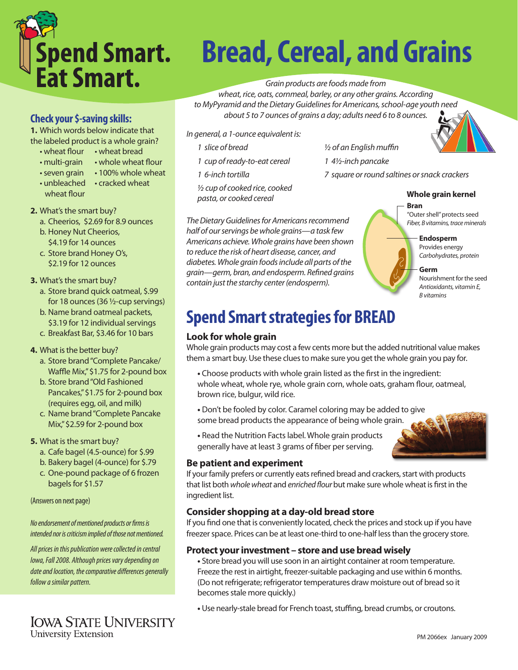

# **Bread, Cereal, and Grains**

*Grain products are foods made from* 

*wheat, rice, oats, cornmeal, barley, or any other grains. According to MyPyramid and the Dietary Guidelines for Americans, school-age youth need about 5 to 7 ounces of grains a day; adults need 6 to 8 ounces.*

*In general, a 1-ounce equivalent is:* 

- 
- *1 cup of ready-to-eat cereal 1 4½-inch pancake*
- 

*½ cup of cooked rice, cooked pasta, or cooked cereal* 

*The Dietary Guidelines for Americans recommend half of our servings be whole grains—a task few Americans achieve. Whole grains have been shown to reduce the risk of heart disease, cancer, and diabetes. Whole grain foods include all parts of the grain—germ, bran, and endosperm. Refined grains contain just the starchy center (endosperm).*

*1 slice of bread ½ of an English muffin* 

*1 6-inch tortilla 7 square or round saltines or snack crackers* 

#### **Whole grain kernel**

**Bran** "Outer shell" protects seed *Fiber, B vitamins, trace minerals*

> **Endosperm** Provides energy *Carbohydrates, protein*

**Germ** Nourishmentforthe seed *Antioxidants, vitamin E, B vitamins*

# **Spend Smart strategies for BREAD**

#### **Look for whole grain**

Whole grain products may cost a few cents more but the added nutritional value makes them a smart buy. Use these clues to make sure you get the whole grain you pay for.

- Choose products with whole grain listed as the first in the ingredient: whole wheat, whole rye, whole grain corn, whole oats, graham flour, oatmeal, brown rice, bulgur, wild rice.
- **•** Don't be fooled by color. Caramel coloring may be added to give some bread products the appearance of being whole grain.
- **•** Read the Nutrition Factslabel. Whole grain products generally have at least 3 grams of fiber per serving.

#### **Be patient and experiment**

If your family prefers or currently eats refined bread and crackers, start with products that list both *whole wheat* and *enriched flour* but make sure whole wheatis firstin the ingredient list.

#### **Consider shopping at a day-old bread store**

If you find one that is conveniently located, check the prices and stock up if you have freezer space. Prices can be at least one-third to one-half less than the grocery store.

#### **Protect your investment – store and use bread wisely**

• Store bread you will use soon in an airtight container at room temperature. Freeze the rest in airtight, freezer-suitable packaging and use within 6 months. (Do not refrigerate; refrigerator temperatures draw moisture out of bread so it becomes stale more quickly.)

• Use nearly-stale bread for French toast, stuffing, bread crumbs, or croutons.

# **Check your \$-saving skills:**

**1.** Which words below indicate that the labeled product is a whole grain?

- wheat flour wheat bread
- multi-grain whole wheat flour
- seven grain 100% whole wheat
- unbleached cracked wheat
- wheat flour

#### **2.** What's the smart buy?

- a. Cheerios, \$2.69 for 8.9 ounces
- b. Honey Nut Cheerios, \$4.19 for 14 ounces
- c. Store brand Honey O's, \$2.19 for 12 ounces

#### **3.** What's the smart buy?

- a. Store brand quick oatmeal, \$.99 for 18 ounces(36 ½-cup servings)
- b. Name brand oatmeal packets, \$3.19 for 12 individual servings
- c. Breakfast Bar, \$3.46 for 10 bars

#### **4.** What is the better buy?

- a. Store brand "Complete Pancake/ Waffle Mix,"\$1.75 for 2-pound box
- b. Store brand"Old Fashioned Pancakes,"\$1.75 for 2-pound box (requires egg, oil, and milk)
- c. Name brand "Complete Pancake Mix,"\$2.59 for 2-pound box
- **5.** What is the smart buy?
	- a. Cafe bagel (4.5-ounce) for \$.99
	- b. Bakery bagel (4-ounce) for \$.79
	- c. One-pound package of 6 frozen bagels for \$1.57

(Answers on next page)

#### *No endorsement of mentioned products or firms is intended nor is criticism implied of those not mentioned.*

*All prices in this publication were collected in central Iowa, Fall 2008. Although prices vary depending on date and location, the comparative differences generally follow a similar pattern.*